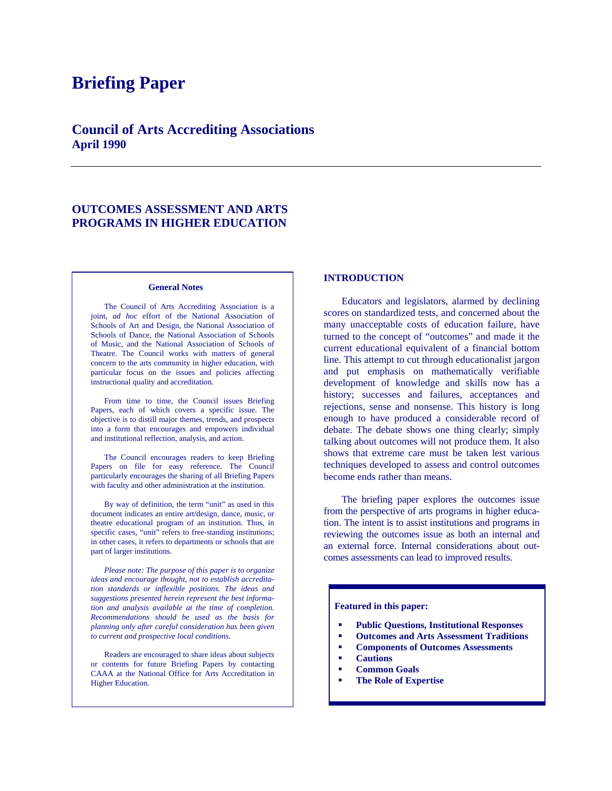# **Briefing Paper**

# **Council of Arts Accrediting Associations April 1990**

# **OUTCOMES ASSESSMENT AND ARTS PROGRAMS IN HIGHER EDUCATION**

#### **General Notes**

The Council of Arts Accrediting Association is a joint, *ad hoc* effort of the National Association of Schools of Art and Design, the National Association of Schools of Dance, the National Association of Schools of Music, and the National Association of Schools of Theatre. The Council works with matters of general concern to the arts community in higher education, with particular focus on the issues and policies affecting instructional quality and accreditation.

 From time to time, the Council issues Briefing Papers, each of which covers a specific issue. The objective is to distill major themes, trends, and prospects into a form that encourages and empowers individual and institutional reflection, analysis, and action.

 The Council encourages readers to keep Briefing Papers on file for easy reference. The Council particularly encourages the sharing of all Briefing Papers with faculty and other administration at the institution.

 By way of definition, the term "unit" as used in this document indicates an entire art/design, dance, music, or theatre educational program of an institution. Thus, in specific cases, "unit" refers to free-standing institutions; in other cases, it refers to departments or schools that are part of larger institutions.

 *Please note: The purpose of this paper is to organize ideas and encourage thought, not to establish accreditation standards or inflexible positions. The ideas and suggestions presented herein represent the best information and analysis available at the time of completion. Recommendations should be used as the basis for planning only after careful consideration has been given to current and prospective local conditions.* 

Readers are encouraged to share ideas about subjects or contents for future Briefing Papers by contacting CAAA at the National Office for Arts Accreditation in Higher Education.

# **INTRODUCTION**

Educators and legislators, alarmed by declining scores on standardized tests, and concerned about the many unacceptable costs of education failure, have turned to the concept of "outcomes" and made it the current educational equivalent of a financial bottom line. This attempt to cut through educationalist jargon and put emphasis on mathematically verifiable development of knowledge and skills now has a history; successes and failures, acceptances and rejections, sense and nonsense. This history is long enough to have produced a considerable record of debate. The debate shows one thing clearly; simply talking about outcomes will not produce them. It also shows that extreme care must be taken lest various techniques developed to assess and control outcomes become ends rather than means.

 The briefing paper explores the outcomes issue from the perspective of arts programs in higher education. The intent is to assist institutions and programs in reviewing the outcomes issue as both an internal and an external force. Internal considerations about outcomes assessments can lead to improved results.

#### **Featured in this paper:**

- **Public Questions, Institutional Responses**
- **Outcomes and Arts Assessment Traditions**
- **Components of Outcomes Assessments**
- **Cautions**
- **Common Goals**
- **The Role of Expertise**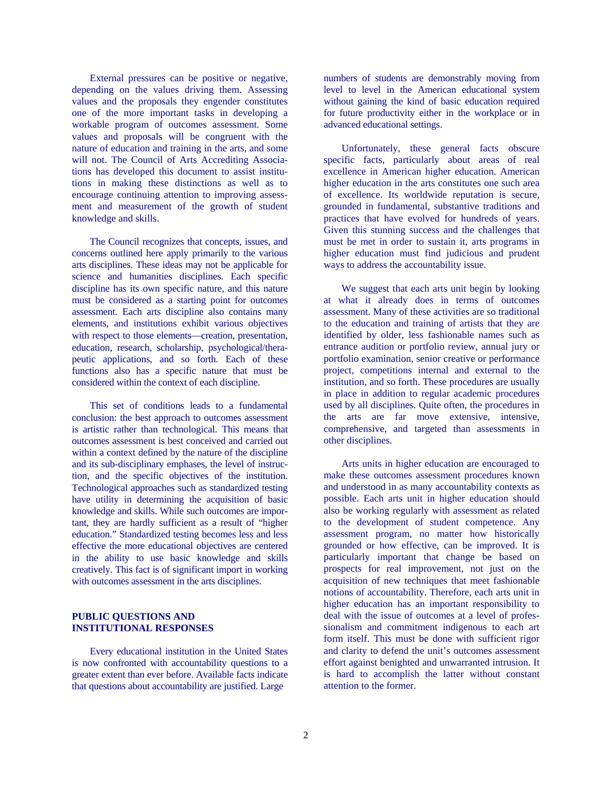External pressures can be positive or negative, depending on the values driving them. Assessing values and the proposals they engender constitutes one of the more important tasks in developing a workable program of outcomes assessment. Some values and proposals will be congruent with the nature of education and training in the arts, and some will not. The Council of Arts Accrediting Associations has developed this document to assist institutions in making these distinctions as well as to encourage continuing attention to improving assessment and measurement of the growth of student knowledge and skills.

 The Council recognizes that concepts, issues, and concerns outlined here apply primarily to the various arts disciplines. These ideas may not be applicable for science and humanities disciplines. Each specific discipline has its own specific nature, and this nature must be considered as a starting point for outcomes assessment. Each arts discipline also contains many elements, and institutions exhibit various objectives with respect to those elements—creation, presentation, education, research, scholarship, psychological/therapeutic applications, and so forth. Each of these functions also has a specific nature that must be considered within the context of each discipline.

 This set of conditions leads to a fundamental conclusion: the best approach to outcomes assessment is artistic rather than technological. This means that outcomes assessment is best conceived and carried out within a context defined by the nature of the discipline and its sub-disciplinary emphases, the level of instruction, and the specific objectives of the institution. Technological approaches such as standardized testing have utility in determining the acquisition of basic knowledge and skills. While such outcomes are important, they are hardly sufficient as a result of "higher education." Standardized testing becomes less and less effective the more educational objectives are centered in the ability to use basic knowledge and skills creatively. This fact is of significant import in working with outcomes assessment in the arts disciplines.

# **PUBLIC QUESTIONS AND INSTITUTIONAL RESPONSES**

 Every educational institution in the United States is now confronted with accountability questions to a greater extent than ever before. Available facts indicate that questions about accountability are justified. Large

numbers of students are demonstrably moving from level to level in the American educational system without gaining the kind of basic education required for future productivity either in the workplace or in advanced educational settings.

 Unfortunately, these general facts obscure specific facts, particularly about areas of real excellence in American higher education. American higher education in the arts constitutes one such area of excellence. Its worldwide reputation is secure, grounded in fundamental, substantive traditions and practices that have evolved for hundreds of years. Given this stunning success and the challenges that must be met in order to sustain it, arts programs in higher education must find judicious and prudent ways to address the accountability issue.

 We suggest that each arts unit begin by looking at what it already does in terms of outcomes assessment. Many of these activities are so traditional to the education and training of artists that they are identified by older, less fashionable names such as entrance audition or portfolio review, annual jury or portfolio examination, senior creative or performance project, competitions internal and external to the institution, and so forth. These procedures are usually in place in addition to regular academic procedures used by all disciplines. Quite often, the procedures in the arts are far move extensive, intensive, comprehensive, and targeted than assessments in other disciplines.

 Arts units in higher education are encouraged to make these outcomes assessment procedures known and understood in as many accountability contexts as possible. Each arts unit in higher education should also be working regularly with assessment as related to the development of student competence. Any assessment program, no matter how historically grounded or how effective, can be improved. It is particularly important that change be based on prospects for real improvement, not just on the acquisition of new techniques that meet fashionable notions of accountability. Therefore, each arts unit in higher education has an important responsibility to deal with the issue of outcomes at a level of professionalism and commitment indigenous to each art form itself. This must be done with sufficient rigor and clarity to defend the unit's outcomes assessment effort against benighted and unwarranted intrusion. It is hard to accomplish the latter without constant attention to the former.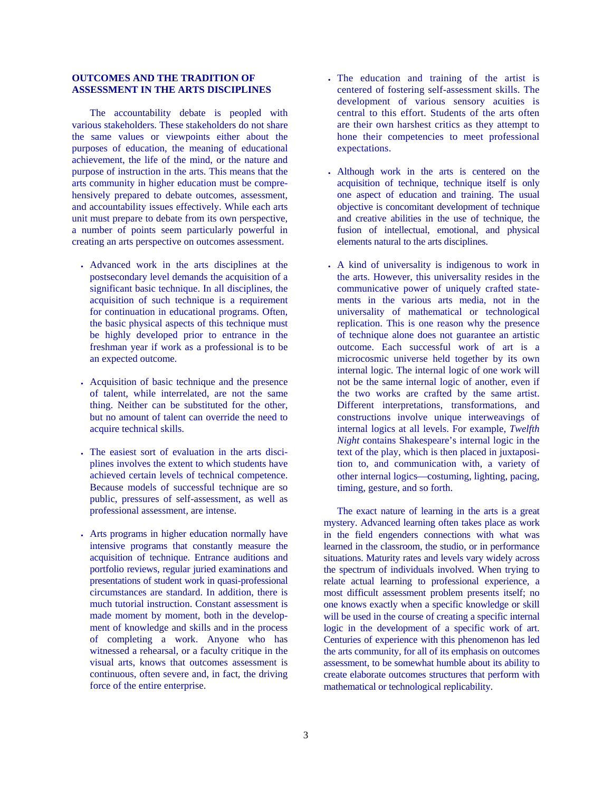# **OUTCOMES AND THE TRADITION OF ASSESSMENT IN THE ARTS DISCIPLINES**

 The accountability debate is peopled with various stakeholders. These stakeholders do not share the same values or viewpoints either about the purposes of education, the meaning of educational achievement, the life of the mind, or the nature and purpose of instruction in the arts. This means that the arts community in higher education must be comprehensively prepared to debate outcomes, assessment, and accountability issues effectively. While each arts unit must prepare to debate from its own perspective, a number of points seem particularly powerful in creating an arts perspective on outcomes assessment.

- Advanced work in the arts disciplines at the postsecondary level demands the acquisition of a significant basic technique. In all disciplines, the acquisition of such technique is a requirement for continuation in educational programs. Often, the basic physical aspects of this technique must be highly developed prior to entrance in the freshman year if work as a professional is to be an expected outcome.
- Acquisition of basic technique and the presence of talent, while interrelated, are not the same thing. Neither can be substituted for the other, but no amount of talent can override the need to acquire technical skills.
- The easiest sort of evaluation in the arts disciplines involves the extent to which students have achieved certain levels of technical competence. Because models of successful technique are so public, pressures of self-assessment, as well as professional assessment, are intense.
- Arts programs in higher education normally have intensive programs that constantly measure the acquisition of technique. Entrance auditions and portfolio reviews, regular juried examinations and presentations of student work in quasi-professional circumstances are standard. In addition, there is much tutorial instruction. Constant assessment is made moment by moment, both in the development of knowledge and skills and in the process of completing a work. Anyone who has witnessed a rehearsal, or a faculty critique in the visual arts, knows that outcomes assessment is continuous, often severe and, in fact, the driving force of the entire enterprise.
- The education and training of the artist is centered of fostering self-assessment skills. The development of various sensory acuities is central to this effort. Students of the arts often are their own harshest critics as they attempt to hone their competencies to meet professional expectations.
- Although work in the arts is centered on the acquisition of technique, technique itself is only one aspect of education and training. The usual objective is concomitant development of technique and creative abilities in the use of technique, the fusion of intellectual, emotional, and physical elements natural to the arts disciplines.
- A kind of universality is indigenous to work in the arts. However, this universality resides in the communicative power of uniquely crafted statements in the various arts media, not in the universality of mathematical or technological replication. This is one reason why the presence of technique alone does not guarantee an artistic outcome. Each successful work of art is a microcosmic universe held together by its own internal logic. The internal logic of one work will not be the same internal logic of another, even if the two works are crafted by the same artist. Different interpretations, transformations, and constructions involve unique interweavings of internal logics at all levels. For example, *Twelfth Night* contains Shakespeare's internal logic in the text of the play, which is then placed in juxtaposition to, and communication with, a variety of other internal logics—costuming, lighting, pacing, timing, gesture, and so forth.

The exact nature of learning in the arts is a great mystery. Advanced learning often takes place as work in the field engenders connections with what was learned in the classroom, the studio, or in performance situations. Maturity rates and levels vary widely across the spectrum of individuals involved. When trying to relate actual learning to professional experience, a most difficult assessment problem presents itself; no one knows exactly when a specific knowledge or skill will be used in the course of creating a specific internal logic in the development of a specific work of art. Centuries of experience with this phenomenon has led the arts community, for all of its emphasis on outcomes assessment, to be somewhat humble about its ability to create elaborate outcomes structures that perform with mathematical or technological replicability.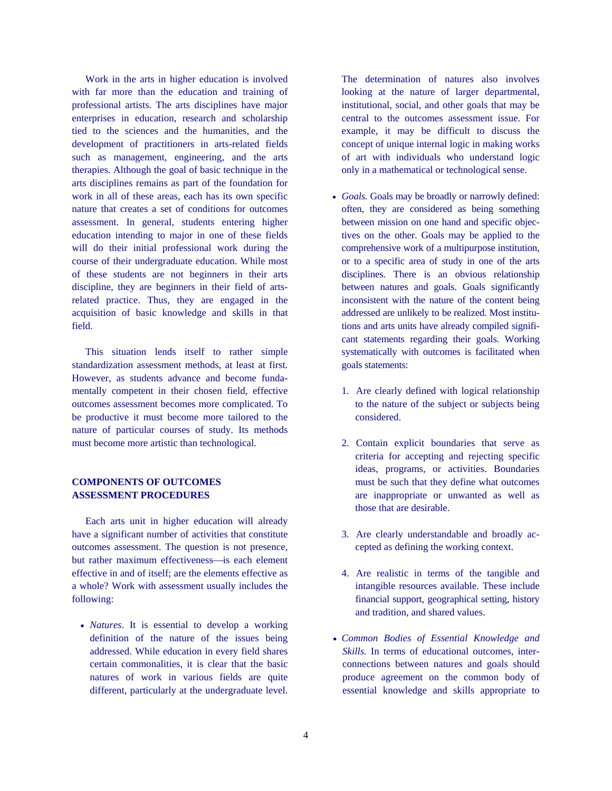Work in the arts in higher education is involved with far more than the education and training of professional artists. The arts disciplines have major enterprises in education, research and scholarship tied to the sciences and the humanities, and the development of practitioners in arts-related fields such as management, engineering, and the arts therapies. Although the goal of basic technique in the arts disciplines remains as part of the foundation for work in all of these areas, each has its own specific nature that creates a set of conditions for outcomes assessment. In general, students entering higher education intending to major in one of these fields will do their initial professional work during the course of their undergraduate education. While most of these students are not beginners in their arts discipline, they are beginners in their field of artsrelated practice. Thus, they are engaged in the acquisition of basic knowledge and skills in that field.

 This situation lends itself to rather simple standardization assessment methods, at least at first. However, as students advance and become fundamentally competent in their chosen field, effective outcomes assessment becomes more complicated. To be productive it must become more tailored to the nature of particular courses of study. Its methods must become more artistic than technological.

# **COMPONENTS OF OUTCOMES ASSESSMENT PROCEDURES**

 Each arts unit in higher education will already have a significant number of activities that constitute outcomes assessment. The question is not presence, but rather maximum effectiveness-is each element effective in and of itself; are the elements effective as a whole? Work with assessment usually includes the following:

• *Natures*. It is essential to develop a working definition of the nature of the issues being addressed. While education in every field shares certain commonalities, it is clear that the basic natures of work in various fields are quite different, particularly at the undergraduate level.

The determination of natures also involves looking at the nature of larger departmental, institutional, social, and other goals that may be central to the outcomes assessment issue. For example, it may be difficult to discuss the concept of unique internal logic in making works of art with individuals who understand logic only in a mathematical or technological sense.

- *Goals.* Goals may be broadly or narrowly defined: often, they are considered as being something between mission on one hand and specific objectives on the other. Goals may be applied to the comprehensive work of a multipurpose institution, or to a specific area of study in one of the arts disciplines. There is an obvious relationship between natures and goals. Goals significantly inconsistent with the nature of the content being addressed are unlikely to be realized. Most institutions and arts units have already compiled significant statements regarding their goals. Working systematically with outcomes is facilitated when goals statements:
	- 1. Are clearly defined with logical relationship to the nature of the subject or subjects being considered.
	- 2. Contain explicit boundaries that serve as criteria for accepting and rejecting specific ideas, programs, or activities. Boundaries must be such that they define what outcomes are inappropriate or unwanted as well as those that are desirable.
	- 3. Are clearly understandable and broadly accepted as defining the working context.
	- 4. Are realistic in terms of the tangible and intangible resources available. These include financial support, geographical setting, history and tradition, and shared values.
- *Common Bodies of Essential Knowledge and Skills.* In terms of educational outcomes, interconnections between natures and goals should produce agreement on the common body of essential knowledge and skills appropriate to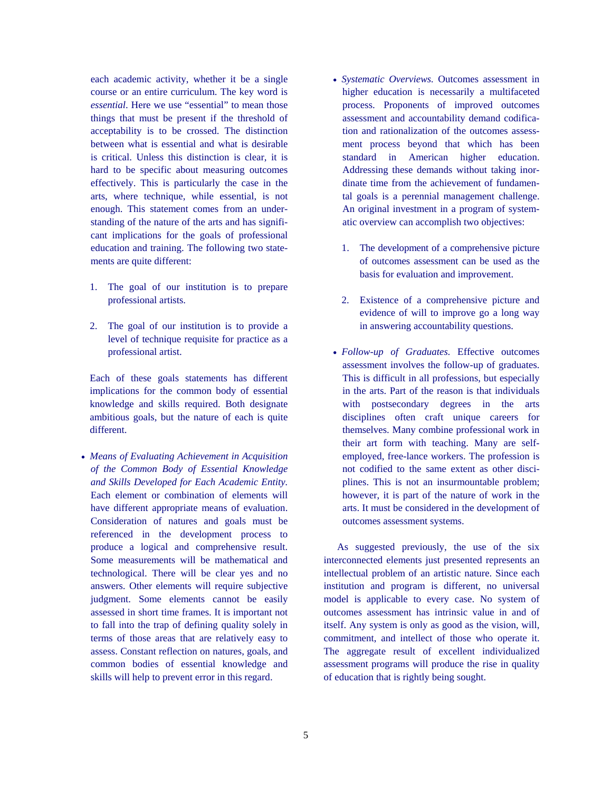each academic activity, whether it be a single course or an entire curriculum. The key word is *essential*. Here we use "essential" to mean those things that must be present if the threshold of acceptability is to be crossed. The distinction between what is essential and what is desirable is critical. Unless this distinction is clear, it is hard to be specific about measuring outcomes effectively. This is particularly the case in the arts, where technique, while essential, is not enough. This statement comes from an understanding of the nature of the arts and has significant implications for the goals of professional education and training. The following two statements are quite different:

- 1. The goal of our institution is to prepare professional artists.
- 2. The goal of our institution is to provide a level of technique requisite for practice as a professional artist.

Each of these goals statements has different implications for the common body of essential knowledge and skills required. Both designate ambitious goals, but the nature of each is quite different.

• *Means of Evaluating Achievement in Acquisition of the Common Body of Essential Knowledge and Skills Developed for Each Academic Entity.*  Each element or combination of elements will have different appropriate means of evaluation. Consideration of natures and goals must be referenced in the development process to produce a logical and comprehensive result. Some measurements will be mathematical and technological. There will be clear yes and no answers. Other elements will require subjective judgment. Some elements cannot be easily assessed in short time frames. It is important not to fall into the trap of defining quality solely in terms of those areas that are relatively easy to assess. Constant reflection on natures, goals, and common bodies of essential knowledge and skills will help to prevent error in this regard.

- *Systematic Overviews.* Outcomes assessment in higher education is necessarily a multifaceted process. Proponents of improved outcomes assessment and accountability demand codification and rationalization of the outcomes assessment process beyond that which has been standard in American higher education. Addressing these demands without taking inordinate time from the achievement of fundamental goals is a perennial management challenge. An original investment in a program of systematic overview can accomplish two objectives:
	- 1. The development of a comprehensive picture of outcomes assessment can be used as the basis for evaluation and improvement.
	- 2. Existence of a comprehensive picture and evidence of will to improve go a long way in answering accountability questions.
- *Follow-up of Graduates.* Effective outcomes assessment involves the follow-up of graduates. This is difficult in all professions, but especially in the arts. Part of the reason is that individuals with postsecondary degrees in the arts disciplines often craft unique careers for themselves. Many combine professional work in their art form with teaching. Many are selfemployed, free-lance workers. The profession is not codified to the same extent as other disciplines. This is not an insurmountable problem; however, it is part of the nature of work in the arts. It must be considered in the development of outcomes assessment systems.

 As suggested previously, the use of the six interconnected elements just presented represents an intellectual problem of an artistic nature. Since each institution and program is different, no universal model is applicable to every case. No system of outcomes assessment has intrinsic value in and of itself. Any system is only as good as the vision, will, commitment, and intellect of those who operate it. The aggregate result of excellent individualized assessment programs will produce the rise in quality of education that is rightly being sought.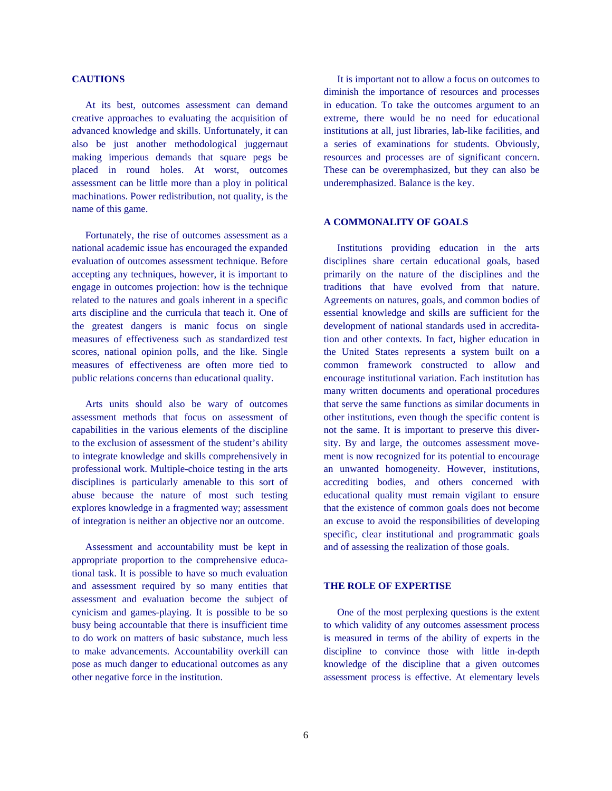# **CAUTIONS**

 At its best, outcomes assessment can demand creative approaches to evaluating the acquisition of advanced knowledge and skills. Unfortunately, it can also be just another methodological juggernaut making imperious demands that square pegs be placed in round holes. At worst, outcomes assessment can be little more than a ploy in political machinations. Power redistribution, not quality, is the name of this game.

 Fortunately, the rise of outcomes assessment as a national academic issue has encouraged the expanded evaluation of outcomes assessment technique. Before accepting any techniques, however, it is important to engage in outcomes projection: how is the technique related to the natures and goals inherent in a specific arts discipline and the curricula that teach it. One of the greatest dangers is manic focus on single measures of effectiveness such as standardized test scores, national opinion polls, and the like. Single measures of effectiveness are often more tied to public relations concerns than educational quality.

 Arts units should also be wary of outcomes assessment methods that focus on assessment of capabilities in the various elements of the discipline to the exclusion of assessment of the student's ability to integrate knowledge and skills comprehensively in professional work. Multiple-choice testing in the arts disciplines is particularly amenable to this sort of abuse because the nature of most such testing explores knowledge in a fragmented way; assessment of integration is neither an objective nor an outcome.

 Assessment and accountability must be kept in appropriate proportion to the comprehensive educational task. It is possible to have so much evaluation and assessment required by so many entities that assessment and evaluation become the subject of cynicism and games-playing. It is possible to be so busy being accountable that there is insufficient time to do work on matters of basic substance, much less to make advancements. Accountability overkill can pose as much danger to educational outcomes as any other negative force in the institution.

 It is important not to allow a focus on outcomes to diminish the importance of resources and processes in education. To take the outcomes argument to an extreme, there would be no need for educational institutions at all, just libraries, lab-like facilities, and a series of examinations for students. Obviously, resources and processes are of significant concern. These can be overemphasized, but they can also be underemphasized. Balance is the key.

# **A COMMONALITY OF GOALS**

 Institutions providing education in the arts disciplines share certain educational goals, based primarily on the nature of the disciplines and the traditions that have evolved from that nature. Agreements on natures, goals, and common bodies of essential knowledge and skills are sufficient for the development of national standards used in accreditation and other contexts. In fact, higher education in the United States represents a system built on a common framework constructed to allow and encourage institutional variation. Each institution has many written documents and operational procedures that serve the same functions as similar documents in other institutions, even though the specific content is not the same. It is important to preserve this diversity. By and large, the outcomes assessment movement is now recognized for its potential to encourage an unwanted homogeneity. However, institutions, accrediting bodies, and others concerned with educational quality must remain vigilant to ensure that the existence of common goals does not become an excuse to avoid the responsibilities of developing specific, clear institutional and programmatic goals and of assessing the realization of those goals.

### **THE ROLE OF EXPERTISE**

 One of the most perplexing questions is the extent to which validity of any outcomes assessment process is measured in terms of the ability of experts in the discipline to convince those with little in-depth knowledge of the discipline that a given outcomes assessment process is effective. At elementary levels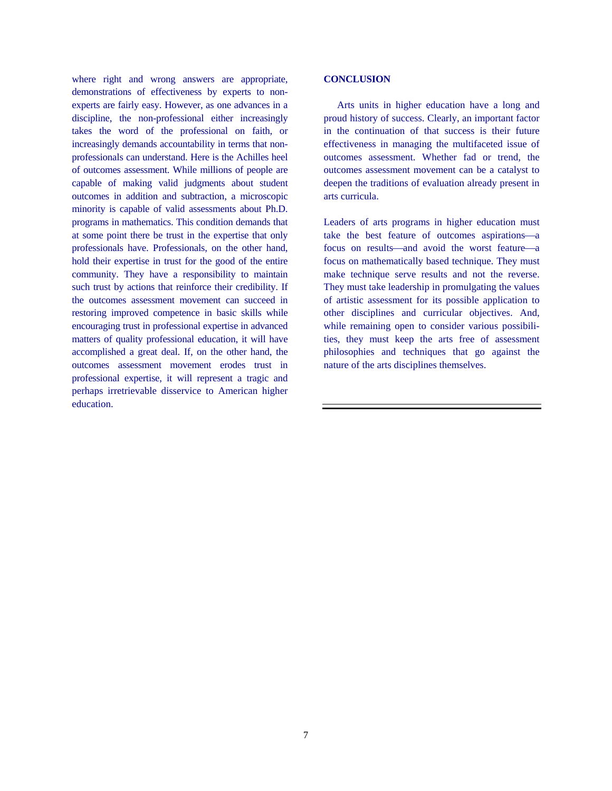where right and wrong answers are appropriate, demonstrations of effectiveness by experts to nonexperts are fairly easy. However, as one advances in a discipline, the non-professional either increasingly takes the word of the professional on faith, or increasingly demands accountability in terms that nonprofessionals can understand. Here is the Achilles heel of outcomes assessment. While millions of people are capable of making valid judgments about student outcomes in addition and subtraction, a microscopic minority is capable of valid assessments about Ph.D. programs in mathematics. This condition demands that at some point there be trust in the expertise that only professionals have. Professionals, on the other hand, hold their expertise in trust for the good of the entire community. They have a responsibility to maintain such trust by actions that reinforce their credibility. If the outcomes assessment movement can succeed in restoring improved competence in basic skills while encouraging trust in professional expertise in advanced matters of quality professional education, it will have accomplished a great deal. If, on the other hand, the outcomes assessment movement erodes trust in professional expertise, it will represent a tragic and perhaps irretrievable disservice to American higher education.

## **CONCLUSION**

 Arts units in higher education have a long and proud history of success. Clearly, an important factor in the continuation of that success is their future effectiveness in managing the multifaceted issue of outcomes assessment. Whether fad or trend, the outcomes assessment movement can be a catalyst to deepen the traditions of evaluation already present in arts curricula.

Leaders of arts programs in higher education must take the best feature of outcomes aspirations—a focus on results—and avoid the worst feature—a focus on mathematically based technique. They must make technique serve results and not the reverse. They must take leadership in promulgating the values of artistic assessment for its possible application to other disciplines and curricular objectives. And, while remaining open to consider various possibilities, they must keep the arts free of assessment philosophies and techniques that go against the nature of the arts disciplines themselves.